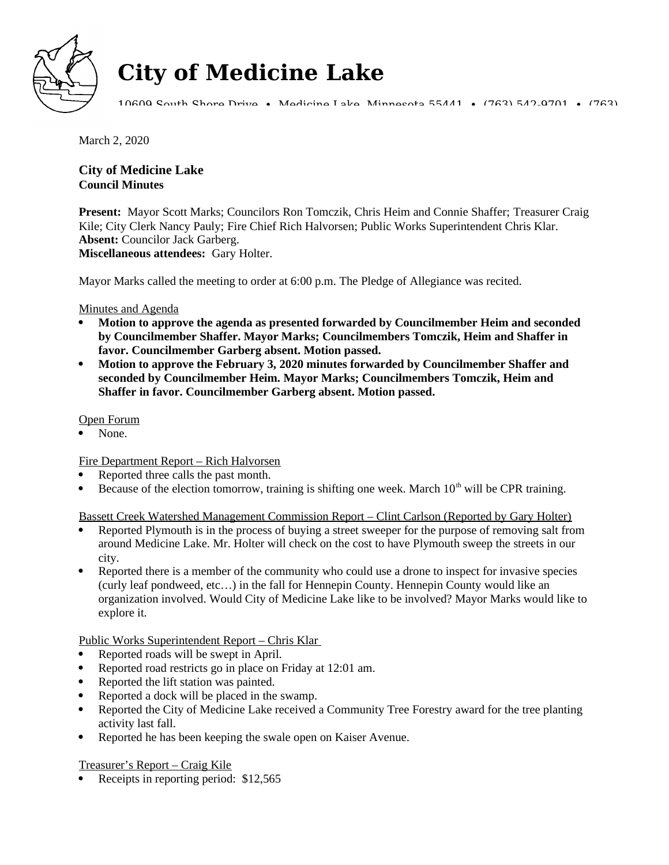

# **City of Medicine Lake**

10609 South Shore Drive • Medicine Lake, Minnesota 55441 • (763) 542-9701 • (763)

March 2, 2020

## **City of Medicine Lake Council Minutes**

**Present:** Mayor Scott Marks; Councilors Ron Tomczik, Chris Heim and Connie Shaffer; Treasurer Craig Kile; City Clerk Nancy Pauly; Fire Chief Rich Halvorsen; Public Works Superintendent Chris Klar. **Absent:** Councilor Jack Garberg. **Miscellaneous attendees:** Gary Holter.

Mayor Marks called the meeting to order at 6:00 p.m. The Pledge of Allegiance was recited.

### Minutes and Agenda

- **Motion to approve the agenda as presented forwarded by Councilmember Heim and seconded by Councilmember Shaffer. Mayor Marks; Councilmembers Tomczik, Heim and Shaffer in favor. Councilmember Garberg absent. Motion passed.**
- **Motion to approve the February 3, 2020 minutes forwarded by Councilmember Shaffer and seconded by Councilmember Heim. Mayor Marks; Councilmembers Tomczik, Heim and Shaffer in favor. Councilmember Garberg absent. Motion passed.**

### Open Forum

None.

Fire Department Report – Rich Halvorsen

- Reported three calls the past month.
- Because of the election tomorrow, training is shifting one week. March  $10<sup>th</sup>$  will be CPR training.

Bassett Creek Watershed Management Commission Report – Clint Carlson (Reported by Gary Holter)

- Reported Plymouth is in the process of buying a street sweeper for the purpose of removing salt from around Medicine Lake. Mr. Holter will check on the cost to have Plymouth sweep the streets in our city.
- Reported there is a member of the community who could use a drone to inspect for invasive species (curly leaf pondweed, etc…) in the fall for Hennepin County. Hennepin County would like an organization involved. Would City of Medicine Lake like to be involved? Mayor Marks would like to explore it.

Public Works Superintendent Report – Chris Klar

- Reported roads will be swept in April.
- Reported road restricts go in place on Friday at 12:01 am.
- Reported the lift station was painted.
- Reported a dock will be placed in the swamp.
- Reported the City of Medicine Lake received a Community Tree Forestry award for the tree planting activity last fall.
- Reported he has been keeping the swale open on Kaiser Avenue.

Treasurer's Report – Craig Kile

Receipts in reporting period: \$12,565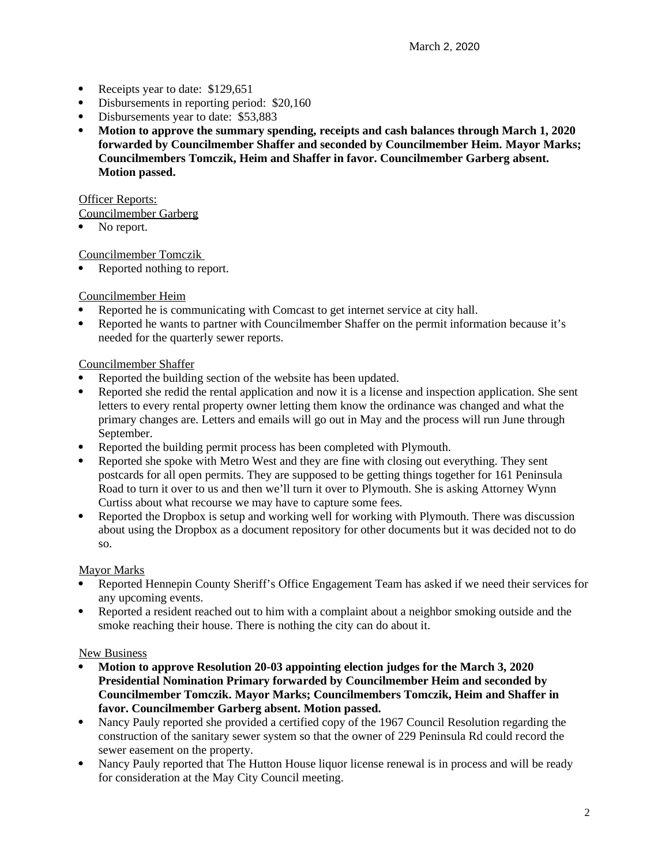- Receipts year to date: \$129,651
- Disbursements in reporting period: \$20,160
- Disbursements year to date: \$53,883
- **Motion to approve the summary spending, receipts and cash balances through March 1, 2020 forwarded by Councilmember Shaffer and seconded by Councilmember Heim. Mayor Marks; Councilmembers Tomczik, Heim and Shaffer in favor. Councilmember Garberg absent. Motion passed.**

**Officer Reports:** 

Councilmember Garberg

• No report.

Councilmember Tomczik

• Reported nothing to report.

Councilmember Heim

- Reported he is communicating with Comcast to get internet service at city hall.
- Reported he wants to partner with Councilmember Shaffer on the permit information because it's needed for the quarterly sewer reports.

#### Councilmember Shaffer

- Reported the building section of the website has been updated.
- Reported she redid the rental application and now it is a license and inspection application. She sent letters to every rental property owner letting them know the ordinance was changed and what the primary changes are. Letters and emails will go out in May and the process will run June through September.
- Reported the building permit process has been completed with Plymouth.
- Reported she spoke with Metro West and they are fine with closing out everything. They sent postcards for all open permits. They are supposed to be getting things together for 161 Peninsula Road to turn it over to us and then we'll turn it over to Plymouth. She is asking Attorney Wynn Curtiss about what recourse we may have to capture some fees.
- Reported the Dropbox is setup and working well for working with Plymouth. There was discussion about using the Dropbox as a document repository for other documents but it was decided not to do so.

### Mayor Marks

- Reported Hennepin County Sheriff's Office Engagement Team has asked if we need their services for any upcoming events.
- Reported a resident reached out to him with a complaint about a neighbor smoking outside and the smoke reaching their house. There is nothing the city can do about it.

#### New Business

- **Motion to approve Resolution 20-03 appointing election judges for the March 3, 2020 Presidential Nomination Primary forwarded by Councilmember Heim and seconded by Councilmember Tomczik. Mayor Marks; Councilmembers Tomczik, Heim and Shaffer in favor. Councilmember Garberg absent. Motion passed.**
- Nancy Pauly reported she provided a certified copy of the 1967 Council Resolution regarding the construction of the sanitary sewer system so that the owner of 229 Peninsula Rd could record the sewer easement on the property.
- Nancy Pauly reported that The Hutton House liquor license renewal is in process and will be ready for consideration at the May City Council meeting.